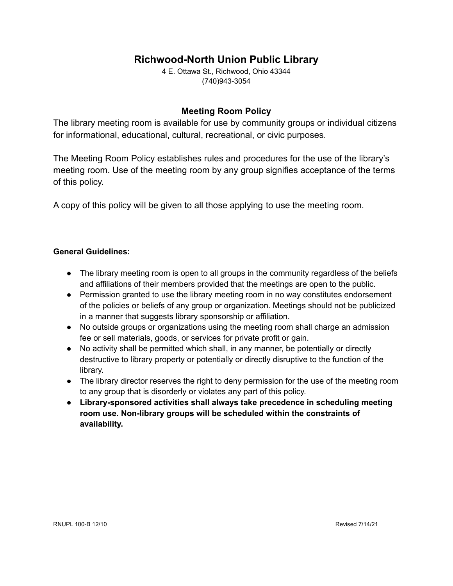# **Richwood-North Union Public Library**

4 E. Ottawa St., Richwood, Ohio 43344 (740)943-3054

## **Meeting Room Policy**

The library meeting room is available for use by community groups or individual citizens for informational, educational, cultural, recreational, or civic purposes.

The Meeting Room Policy establishes rules and procedures for the use of the library's meeting room. Use of the meeting room by any group signifies acceptance of the terms of this policy.

A copy of this policy will be given to all those applying to use the meeting room.

### **General Guidelines:**

- The library meeting room is open to all groups in the community regardless of the beliefs and affiliations of their members provided that the meetings are open to the public.
- Permission granted to use the library meeting room in no way constitutes endorsement of the policies or beliefs of any group or organization. Meetings should not be publicized in a manner that suggests library sponsorship or affiliation.
- No outside groups or organizations using the meeting room shall charge an admission fee or sell materials, goods, or services for private profit or gain.
- No activity shall be permitted which shall, in any manner, be potentially or directly destructive to library property or potentially or directly disruptive to the function of the library.
- The library director reserves the right to deny permission for the use of the meeting room to any group that is disorderly or violates any part of this policy.
- **Library-sponsored activities shall always take precedence in scheduling meeting room use. Non-library groups will be scheduled within the constraints of availability.**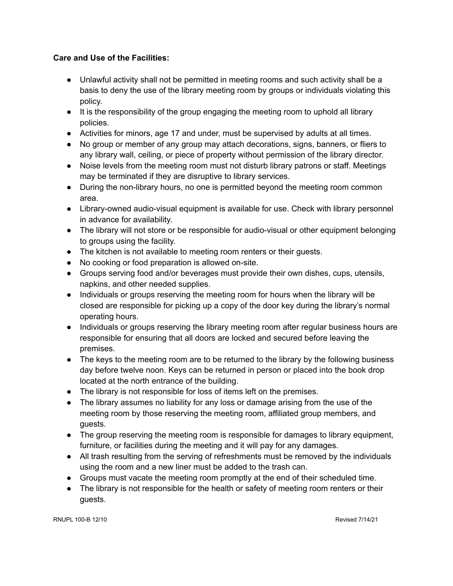## **Care and Use of the Facilities:**

- Unlawful activity shall not be permitted in meeting rooms and such activity shall be a basis to deny the use of the library meeting room by groups or individuals violating this policy.
- It is the responsibility of the group engaging the meeting room to uphold all library policies.
- Activities for minors, age 17 and under, must be supervised by adults at all times.
- No group or member of any group may attach decorations, signs, banners, or fliers to any library wall, ceiling, or piece of property without permission of the library director.
- Noise levels from the meeting room must not disturb library patrons or staff. Meetings may be terminated if they are disruptive to library services.
- During the non-library hours, no one is permitted beyond the meeting room common area.
- Library-owned audio-visual equipment is available for use. Check with library personnel in advance for availability.
- The library will not store or be responsible for audio-visual or other equipment belonging to groups using the facility.
- The kitchen is not available to meeting room renters or their guests.
- No cooking or food preparation is allowed on-site.
- Groups serving food and/or beverages must provide their own dishes, cups, utensils, napkins, and other needed supplies.
- Individuals or groups reserving the meeting room for hours when the library will be closed are responsible for picking up a copy of the door key during the library's normal operating hours.
- Individuals or groups reserving the library meeting room after regular business hours are responsible for ensuring that all doors are locked and secured before leaving the premises.
- The keys to the meeting room are to be returned to the library by the following business day before twelve noon. Keys can be returned in person or placed into the book drop located at the north entrance of the building.
- The library is not responsible for loss of items left on the premises.
- The library assumes no liability for any loss or damage arising from the use of the meeting room by those reserving the meeting room, affiliated group members, and guests.
- The group reserving the meeting room is responsible for damages to library equipment, furniture, or facilities during the meeting and it will pay for any damages.
- All trash resulting from the serving of refreshments must be removed by the individuals using the room and a new liner must be added to the trash can.
- Groups must vacate the meeting room promptly at the end of their scheduled time.
- The library is not responsible for the health or safety of meeting room renters or their guests.